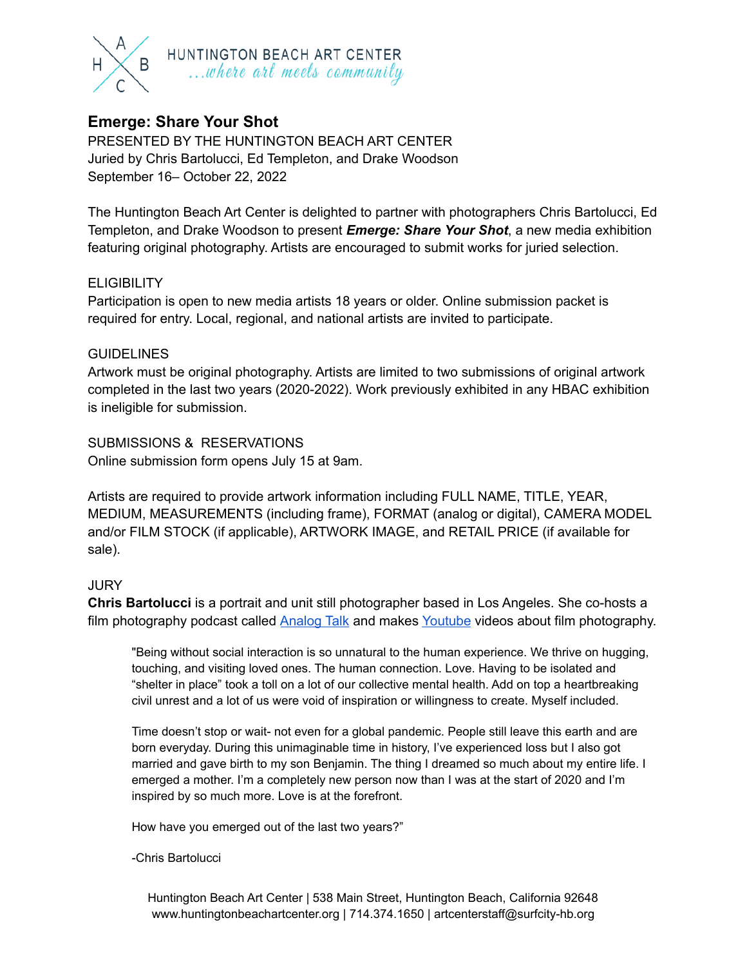

## **Emerge: Share Your Shot**

PRESENTED BY THE HUNTINGTON BEACH ART CENTER Juried by Chris Bartolucci, Ed Templeton, and Drake Woodson September 16– October 22, 2022

The Huntington Beach Art Center is delighted to partner with photographers Chris Bartolucci, Ed Templeton, and Drake Woodson to present *Emerge: Share Your Shot*, a new media exhibition featuring original photography. Artists are encouraged to submit works for juried selection.

## **ELIGIBILITY**

Participation is open to new media artists 18 years or older. Online submission packet is required for entry. Local, regional, and national artists are invited to participate.

#### **GUIDELINES**

Artwork must be original photography. Artists are limited to two submissions of original artwork completed in the last two years (2020-2022). Work previously exhibited in any HBAC exhibition is ineligible for submission.

SUBMISSIONS & RESERVATIONS Online submission form opens July 15 at 9am.

Artists are required to provide artwork information including FULL NAME, TITLE, YEAR, MEDIUM, MEASUREMENTS (including frame), FORMAT (analog or digital), CAMERA MODEL and/or FILM STOCK (if applicable), ARTWORK IMAGE, and RETAIL PRICE (if available for sale).

#### **JURY**

**Chris Bartolucci** is a portrait and unit still photographer based in Los Angeles. She co-hosts a film photography podcast called [Analog](https://redcircle.com/shows/analog-talk) Talk and makes [Youtube](https://www.youtube.com/user/chrisbphoto) videos about film photography.

"Being without social interaction is so unnatural to the human experience. We thrive on hugging, touching, and visiting loved ones. The human connection. Love. Having to be isolated and "shelter in place" took a toll on a lot of our collective mental health. Add on top a heartbreaking civil unrest and a lot of us were void of inspiration or willingness to create. Myself included.

Time doesn't stop or wait- not even for a global pandemic. People still leave this earth and are born everyday. During this unimaginable time in history, I've experienced loss but I also got married and gave birth to my son Benjamin. The thing I dreamed so much about my entire life. I emerged a mother. I'm a completely new person now than I was at the start of 2020 and I'm inspired by so much more. Love is at the forefront.

How have you emerged out of the last two years?"

-Chris Bartolucci

Huntington Beach Art Center | 538 Main Street, Huntington Beach, California 92648 www.huntingtonbeachartcenter.org | 714.374.1650 | artcenterstaff@surfcity-hb.org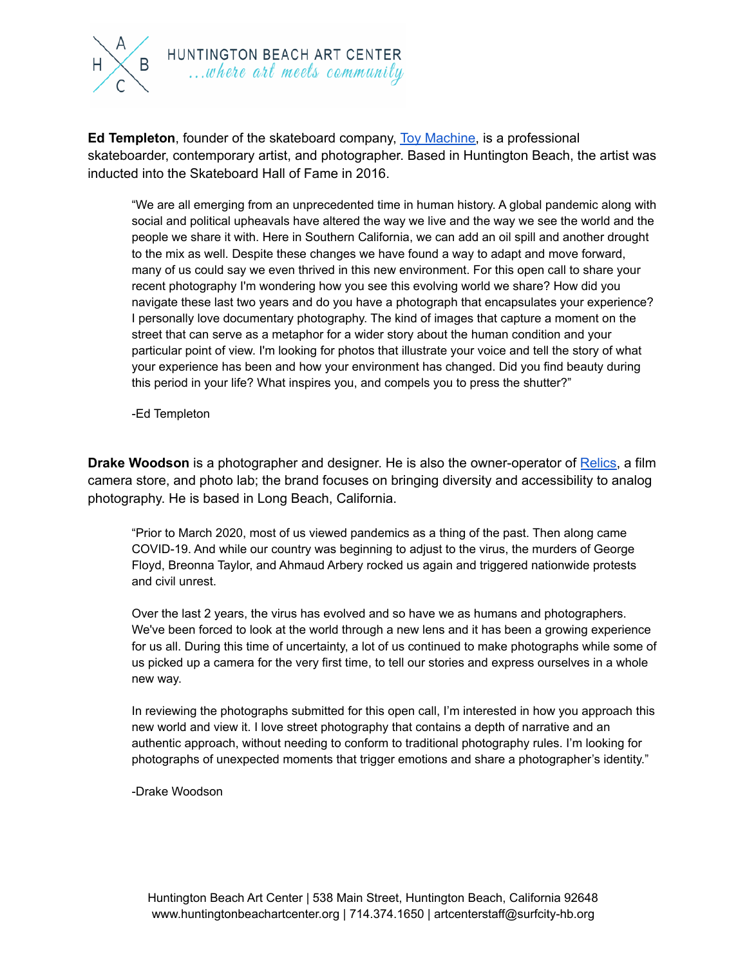

**Ed Templeton**, founder of the skateboard company, Toy [Machine,](https://toymachine.com/) is a professional skateboarder, contemporary artist, and photographer. Based in Huntington Beach, the artist was inducted into the Skateboard Hall of Fame in 2016.

"We are all emerging from an unprecedented time in human history. A global pandemic along with social and political upheavals have altered the way we live and the way we see the world and the people we share it with. Here in Southern California, we can add an oil spill and another drought to the mix as well. Despite these changes we have found a way to adapt and move forward, many of us could say we even thrived in this new environment. For this open call to share your recent photography I'm wondering how you see this evolving world we share? How did you navigate these last two years and do you have a photograph that encapsulates your experience? I personally love documentary photography. The kind of images that capture a moment on the street that can serve as a metaphor for a wider story about the human condition and your particular point of view. I'm looking for photos that illustrate your voice and tell the story of what your experience has been and how your environment has changed. Did you find beauty during this period in your life? What inspires you, and compels you to press the shutter?"

-Ed Templeton

**Drake Woodson** is a photographer and designer. He is also the owner-operator of **Relics**, a film camera store, and photo lab; the brand focuses on bringing diversity and accessibility to analog photography. He is based in Long Beach, California.

"Prior to March 2020, most of us viewed pandemics as a thing of the past. Then along came COVID-19. And while our country was beginning to adjust to the virus, the murders of George Floyd, Breonna Taylor, and Ahmaud Arbery rocked us again and triggered nationwide protests and civil unrest.

Over the last 2 years, the virus has evolved and so have we as humans and photographers. We've been forced to look at the world through a new lens and it has been a growing experience for us all. During this time of uncertainty, a lot of us continued to make photographs while some of us picked up a camera for the very first time, to tell our stories and express ourselves in a whole new way.

In reviewing the photographs submitted for this open call, I'm interested in how you approach this new world and view it. I love street photography that contains a depth of narrative and an authentic approach, without needing to conform to traditional photography rules. I'm looking for photographs of unexpected moments that trigger emotions and share a photographer's identity."

-Drake Woodson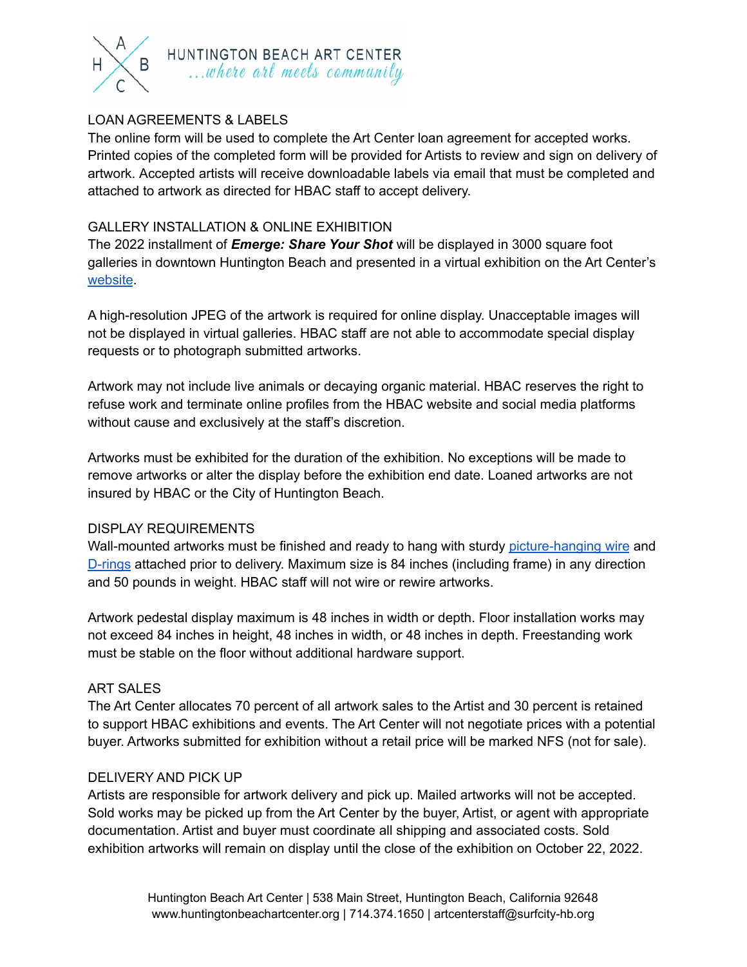

## LOAN AGREEMENTS & LABELS

The online form will be used to complete the Art Center loan agreement for accepted works. Printed copies of the completed form will be provided for Artists to review and sign on delivery of artwork. Accepted artists will receive downloadable labels via email that must be completed and attached to artwork as directed for HBAC staff to accept delivery.

#### GALLERY INSTALLATION & ONLINE EXHIBITION

The 2022 installment of *Emerge: Share Your Shot* will be displayed in 3000 square foot galleries in downtown Huntington Beach and presented in a virtual exhibition on the Art Center's [website](https://www.huntingtonbeachartcenter.org/).

A high-resolution JPEG of the artwork is required for online display. Unacceptable images will not be displayed in virtual galleries. HBAC staff are not able to accommodate special display requests or to photograph submitted artworks.

Artwork may not include live animals or decaying organic material. HBAC reserves the right to refuse work and terminate online profiles from the HBAC website and social media platforms without cause and exclusively at the staff's discretion.

Artworks must be exhibited for the duration of the exhibition. No exceptions will be made to remove artworks or alter the display before the exhibition end date. Loaned artworks are not insured by HBAC or the City of Huntington Beach.

#### DISPLAY REQUIREMENTS

Wall-mounted artworks must be finished and ready to hang with sturdy [picture-hanging](https://www.dickblick.com/products/ook-framers-pro-wire/) wire and [D-rings](https://www.dickblick.com/products/d-ring-hangers/) attached prior to delivery. Maximum size is 84 inches (including frame) in any direction and 50 pounds in weight. HBAC staff will not wire or rewire artworks.

Artwork pedestal display maximum is 48 inches in width or depth. Floor installation works may not exceed 84 inches in height, 48 inches in width, or 48 inches in depth. Freestanding work must be stable on the floor without additional hardware support.

#### ART SALES

The Art Center allocates 70 percent of all artwork sales to the Artist and 30 percent is retained to support HBAC exhibitions and events. The Art Center will not negotiate prices with a potential buyer. Artworks submitted for exhibition without a retail price will be marked NFS (not for sale).

#### DELIVERY AND PICK UP

Artists are responsible for artwork delivery and pick up. Mailed artworks will not be accepted. Sold works may be picked up from the Art Center by the buyer, Artist, or agent with appropriate documentation. Artist and buyer must coordinate all shipping and associated costs. Sold exhibition artworks will remain on display until the close of the exhibition on October 22, 2022.

> Huntington Beach Art Center | 538 Main Street, Huntington Beach, California 92648 www.huntingtonbeachartcenter.org | 714.374.1650 | artcenterstaff@surfcity-hb.org